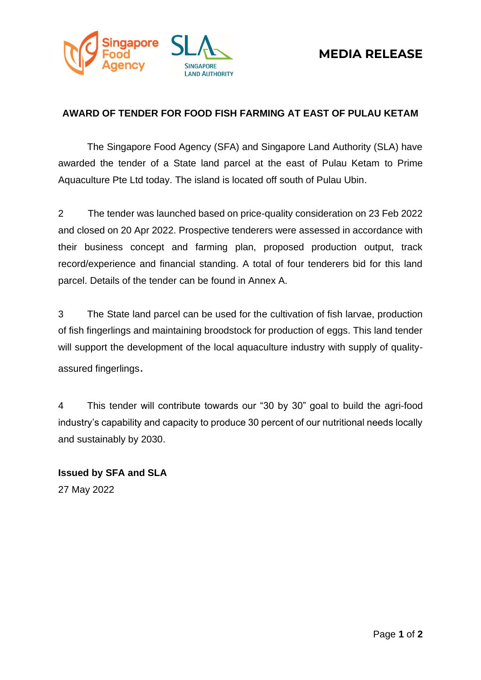



## **AWARD OF TENDER FOR FOOD FISH FARMING AT EAST OF PULAU KETAM**

The Singapore Food Agency (SFA) and Singapore Land Authority (SLA) have awarded the tender of a State land parcel at the east of Pulau Ketam to Prime Aquaculture Pte Ltd today. The island is located off south of Pulau Ubin.

2 The tender was launched based on price-quality consideration on 23 Feb 2022 and closed on 20 Apr 2022. Prospective tenderers were assessed in accordance with their business concept and farming plan, proposed production output, track record/experience and financial standing. A total of four tenderers bid for this land parcel. Details of the tender can be found in Annex A.

3 The State land parcel can be used for the cultivation of fish larvae, production of fish fingerlings and maintaining broodstock for production of eggs. This land tender will support the development of the local aquaculture industry with supply of qualityassured fingerlings.

4 This tender will contribute towards our "30 by 30" goal to build the agri-food industry's capability and capacity to produce 30 percent of our nutritional needs locally and sustainably by 2030.

**Issued by SFA and SLA** 27 May 2022